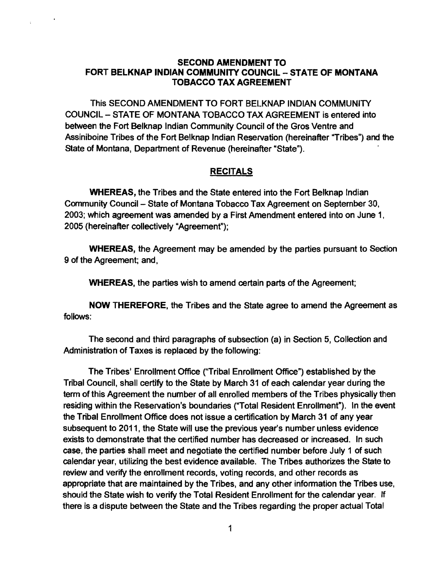## SECOND AMENDMENT TO FORT BELKNAP INDIAN COMMUNITY COUNCIL - STATE OF MONTANA TOBACCO TAX AGREEMENT

This SECOND AMENDMENT TO FORT BELKNAP INDIAN COMMUNITY COUNCIL - STATE OF MONTANA TOBACCO TAX AGREEMENT is entered into between the Fort Belknap Indian Community Council of the Gros Ventre and Assiniboine Tribes of the Fort Belknap Indian Reservation (hereinafter "Tribes") and the State of Montana, Department of Revenue (hereinafter "State").

## RECITALS

WHEREAS, the Tribes and the State entered into the Fort Belknap Indian Community Council- State of Montana Tobacco Tax Agreement on September 30, 2003; which agreement was amended by a First Amendment entered into on June 1, 2005 (hereinafter collectively "Agreement");

WHEREAS, the Agreement may be amended by the parties pursuant to Section 9 of the Agreement; and,

WHEREAS, the parties wish to amend certain parts of the Agreement;

NOW THEREFORE, the Tribes and the State agree to amend the Agreement as follows:

The second and third paragraphs of subsection (a) in Section 5, Collection and Administration of Taxes is replaced by the following:

The Tribes' Enrollment Office ("Tribal Enrollment Office") established by the Tribal Council, shall certify to the State by March 31 of each calendar year during the term of this Agreement the number of all enrolled members of the Tribes physically then residing within the Reservation's boundaries ("Total Resident Enrollment"). In the event the Tribal Enrollment Office does not issue a certification by March 31 of any year subsequent to 2011, the State will use the previous year's number unless evidence exists to demonstrate that the certified number has decreased or increased. In such case, the parties shall meet and negotiate the certified number before July 1 of such calendar year, utilizing the best evidence available. The Tribes authorizes the State to review and verify the enrollment records, voting records, and other records as appropriate that are maintained by the Tribes, and any other information the Tribes use, should the State wish to verify the Total Resident Enrollment for the calendar year. If there is a dispute between the State and the Tribes regarding the proper actual Total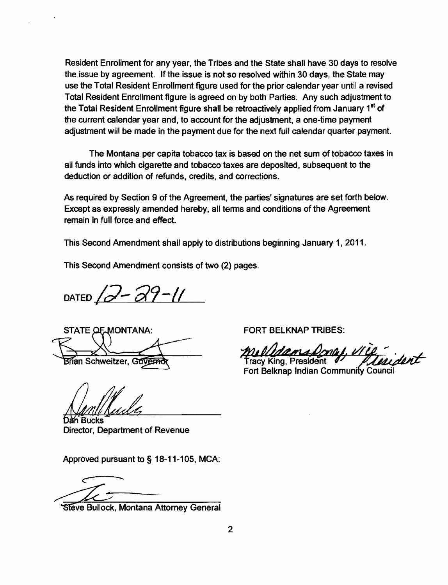Resident Enrollment for any year, the Tribes and the State shall have 30 days to resolve the issue by agreement. If the issue is not so resolved within 30 days, the State may use the Total Resident Enrollment figure used for the prior calendar year until a revised Total Resident Enrollment figure is agreed on by both Parties. Any such adjustment to the Total Resident Enrollment figure shall be retroactively applied from January 1<sup>st</sup> of the current calendar year and, to account for the adjustment, a one-time payment adjustment will be made in the payment due for the next full calendar quarter payment.

The Montana per capita tobacco tax is based on the net sum of tobacco taxes in all funds into which cigarette and tobacco taxes are deposited, subsequent to the deduction or addition of refunds, credits, and corrections.

As required by Section 9 of the Agreement, the parties' signatures are set forth below. Except as expressly amended hereby, all terms and conditions of the Agreement remain in full force and effect,

This Second Amendment shall apply to distributions beginning January 1, 2011.

This Second Amendment consists of two (2) pages.

 $DATED / 2 - 29 - 11$ 

STATE OF MONTANA:

Brian Schweitzer, Governor

Dan Bucks Director, Department of Revenue

Approved pursuant to § 18-11-105, MCA:

Steve Bullock, Montana Attorney General

FORT BELKNAP TRIBES:

dans Donal, VI rident

racy King, President Fort Belknap Indian Community Council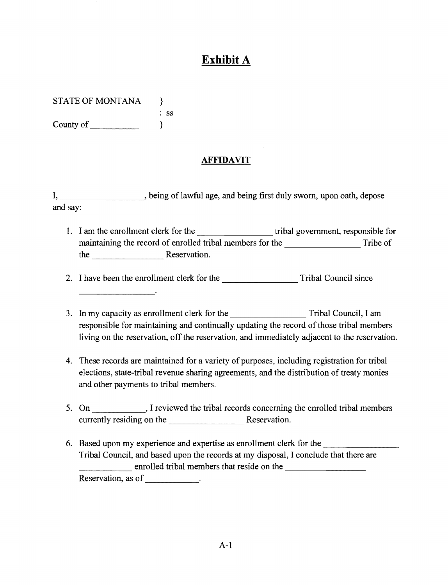## **Exhibit A**

STATE OF MONTANA } : ss County of  $\qquad$ 

## **AFFIDAVIT**

I, being of lawful age, and being first duly sworn, upon oath, depose and say:

1. I am the enrollment clerk for the tribal government, responsible for maintaining the record of enrolled tribal members for the Tribe of Tribe of the Reservation.

-------- 2. I have been the enrollment clerk for the Tribal Council since

- 3. In my capacity as enrollment clerk for the Tribal Council, I am responsible for maintaining and continually updating the record of those tribal members living on the reservation, off the reservation, and immediately adjacent to the reservation.
- 4. These records are maintained for a variety of purposes, including registration for tribal elections, state-tribal revenue sharing agreements, and the distribution of treaty monies and other payments to tribal members.
- 5. On \_\_\_\_\_\_\_\_\_\_\_\_, I reviewed the tribal records concerning the enrolled tribal members currently residing on the Reservation.
- 6. Based upon my experience and expertise as enrollment clerk for the Tribal Council, and based upon the records at my disposal, I conclude that there are enrolled tribal members that reside on the Reservation, as of \_\_\_\_\_\_\_\_\_\_\_.